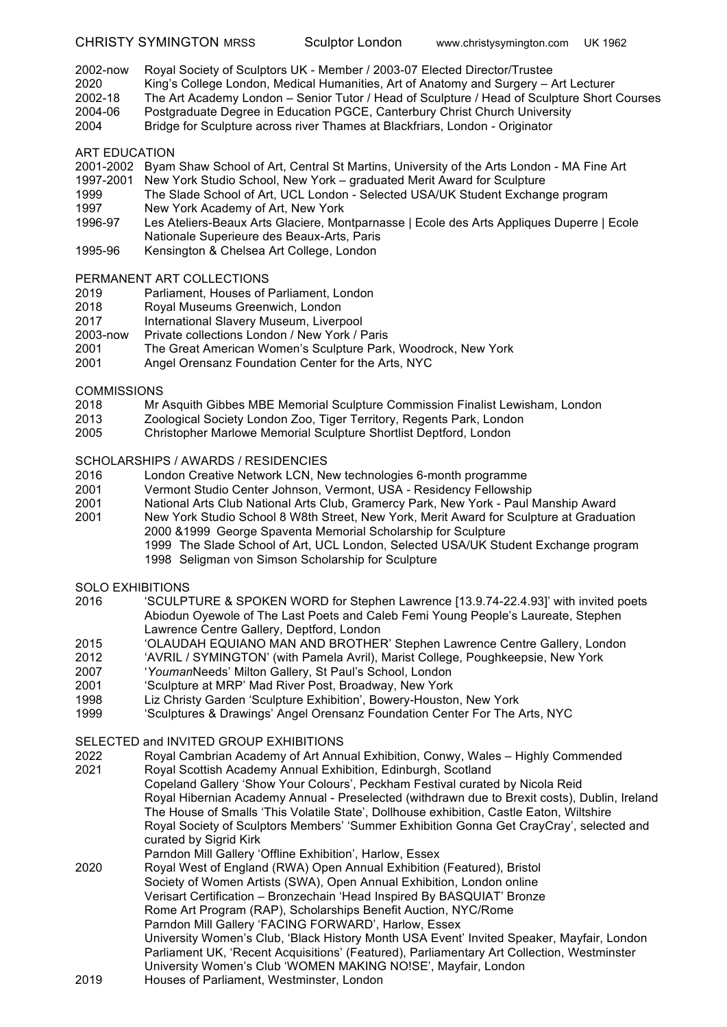- 2002-now Royal Society of Sculptors UK Member / 2003-07 Elected Director/Trustee
- 2020 King's College London, Medical Humanities, Art of Anatomy and Surgery Art Lecturer
- 2002-18 The Art Academy London Senior Tutor / Head of Sculpture / Head of Sculpture Short Courses
- 2004-06 Postgraduate Degree in Education PGCE, Canterbury Christ Church University
- 2004 Bridge for Sculpture across river Thames at Blackfriars, London Originator

#### ART EDUCATION

- 2001-2002 Byam Shaw School of Art, Central St Martins, University of the Arts London MA Fine Art
- 1997-2001 New York Studio School, New York graduated Merit Award for Sculpture
- 1999 The Slade School of Art, UCL London Selected USA/UK Student Exchange program
- 1997 New York Academy of Art, New York
- 1996-97 Les Ateliers-Beaux Arts Glaciere, Montparnasse | Ecole des Arts Appliques Duperre | Ecole Nationale Superieure des Beaux-Arts, Paris
- 1995-96 Kensington & Chelsea Art College, London

# PERMANENT ART COLLECTIONS

- 2019 Parliament, Houses of Parliament, London
- 2018 Royal Museums Greenwich, London
- 2017 International Slavery Museum, Liverpool
- 2003-now Private collections London / New York / Paris
- 2001 The Great American Women's Sculpture Park, Woodrock, New York
- 2001 Angel Orensanz Foundation Center for the Arts, NYC

# **COMMISSIONS**

- 2018 Mr Asquith Gibbes MBE Memorial Sculpture Commission Finalist Lewisham, London
- 2013 Zoological Society London Zoo, Tiger Territory, Regents Park, London<br>2005 Christopher Marlowe Memorial Sculpture Shortlist Deptford, London
- 2005 Christopher Marlowe Memorial Sculpture Shortlist Deptford, London

# SCHOLARSHIPS / AWARDS / RESIDENCIES

- 2016 London Creative Network LCN, New technologies 6-month programme
- 2001 Vermont Studio Center Johnson, Vermont, USA Residency Fellowship
- 2001 National Arts Club National Arts Club, Gramercy Park, New York Paul Manship Award
- 2001 New York Studio School 8 W8th Street, New York, Merit Award for Sculpture at Graduation 2000 &1999 George Spaventa Memorial Scholarship for Sculpture 1999 The Slade School of Art, UCL London, Selected USA/UK Student Exchange program
	- 1998 Seligman von Simson Scholarship for Sculpture

# SOLO EXHIBITIONS

- 2016 'SCULPTURE & SPOKEN WORD for Stephen Lawrence [13.9.74-22.4.93]' with invited poets Abiodun Oyewole of The Last Poets and Caleb Femi Young People's Laureate, Stephen Lawrence Centre Gallery, Deptford, London
- 2015 'OLAUDAH EQUIANO MAN AND BROTHER' Stephen Lawrence Centre Gallery, London
- 2012 'AVRIL / SYMINGTON' (with Pamela Avril), Marist College, Poughkeepsie, New York
- 2007 '*Youman*Needs' Milton Gallery, St Paul's School, London
- 2001 'Sculpture at MRP' Mad River Post, Broadway, New York
- 1998 Liz Christy Garden 'Sculpture Exhibition', Bowery-Houston, New York
- 1999 'Sculptures & Drawings' Angel Orensanz Foundation Center For The Arts, NYC

# SELECTED and INVITED GROUP EXHIBITIONS

- 2022 Royal Cambrian Academy of Art Annual Exhibition, Conwy, Wales Highly Commended 2021 Royal Scottish Academy Annual Exhibition, Edinburgh, Scotland Copeland Gallery 'Show Your Colours', Peckham Festival curated by Nicola Reid Royal Hibernian Academy Annual - Preselected (withdrawn due to Brexit costs), Dublin, Ireland The House of Smalls 'This Volatile State', Dollhouse exhibition, Castle Eaton, Wiltshire Royal Society of Sculptors Members' 'Summer Exhibition Gonna Get CrayCray', selected and curated by Sigrid Kirk Parndon Mill Gallery 'Offline Exhibition', Harlow, Essex 2020 Royal West of England (RWA) Open Annual Exhibition (Featured), Bristol Society of Women Artists (SWA), Open Annual Exhibition, London online Verisart Certification – Bronzechain 'Head Inspired By BASQUIAT' Bronze Rome Art Program (RAP), Scholarships Benefit Auction, NYC/Rome Parndon Mill Gallery 'FACING FORWARD', Harlow, Essex University Women's Club, 'Black History Month USA Event' Invited Speaker, Mayfair, London Parliament UK, 'Recent Acquisitions' (Featured), Parliamentary Art Collection, Westminster University Women's Club 'WOMEN MAKING NO!SE', Mayfair, London
- 2019 Houses of Parliament, Westminster, London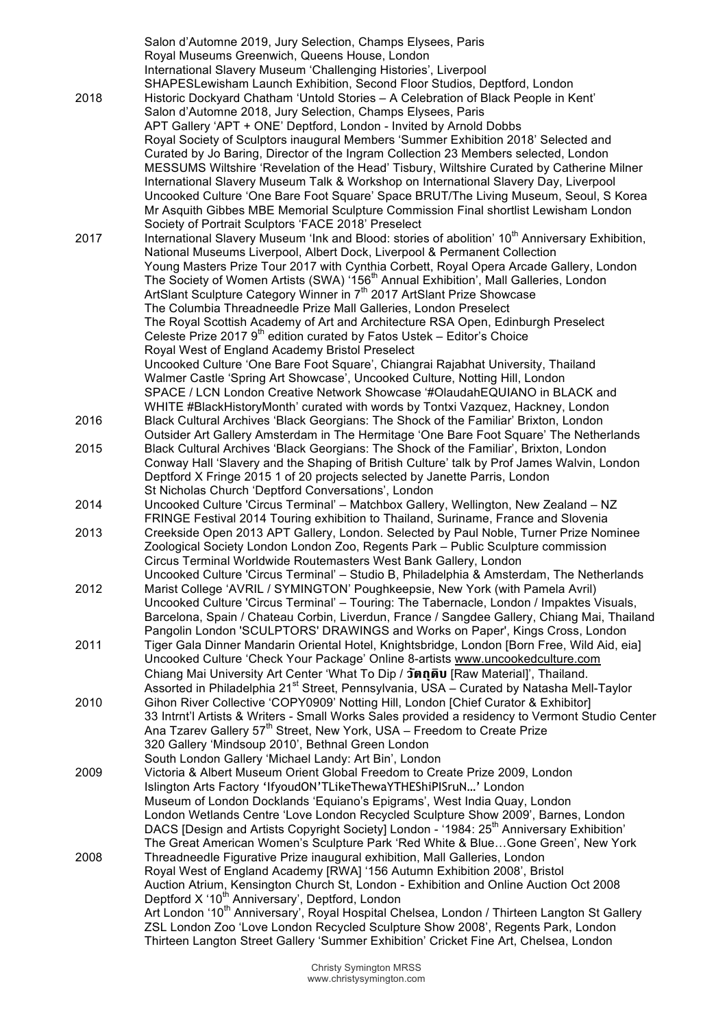|      | Salon d'Automne 2019, Jury Selection, Champs Elysees, Paris                                                                                                                  |
|------|------------------------------------------------------------------------------------------------------------------------------------------------------------------------------|
|      | Royal Museums Greenwich, Queens House, London                                                                                                                                |
|      | International Slavery Museum 'Challenging Histories', Liverpool                                                                                                              |
|      | SHAPESLewisham Launch Exhibition, Second Floor Studios, Deptford, London                                                                                                     |
| 2018 | Historic Dockyard Chatham 'Untold Stories - A Celebration of Black People in Kent'                                                                                           |
|      | Salon d'Automne 2018, Jury Selection, Champs Elysees, Paris                                                                                                                  |
|      | APT Gallery 'APT + ONE' Deptford, London - Invited by Arnold Dobbs                                                                                                           |
|      | Royal Society of Sculptors inaugural Members 'Summer Exhibition 2018' Selected and<br>Curated by Jo Baring, Director of the Ingram Collection 23 Members selected, London    |
|      | MESSUMS Wiltshire 'Revelation of the Head' Tisbury, Wiltshire Curated by Catherine Milner                                                                                    |
|      | International Slavery Museum Talk & Workshop on International Slavery Day, Liverpool                                                                                         |
|      | Uncooked Culture 'One Bare Foot Square' Space BRUT/The Living Museum, Seoul, S Korea                                                                                         |
|      | Mr Asquith Gibbes MBE Memorial Sculpture Commission Final shortlist Lewisham London                                                                                          |
|      | Society of Portrait Sculptors 'FACE 2018' Preselect                                                                                                                          |
| 2017 | International Slavery Museum 'Ink and Blood: stories of abolition' 10 <sup>th</sup> Anniversary Exhibition,                                                                  |
|      | National Museums Liverpool, Albert Dock, Liverpool & Permanent Collection                                                                                                    |
|      | Young Masters Prize Tour 2017 with Cynthia Corbett, Royal Opera Arcade Gallery, London                                                                                       |
|      | The Society of Women Artists (SWA) '156 <sup>th</sup> Annual Exhibition', Mall Galleries, London                                                                             |
|      | ArtSlant Sculpture Category Winner in 7 <sup>th</sup> 2017 ArtSlant Prize Showcase                                                                                           |
|      | The Columbia Threadneedle Prize Mall Galleries, London Preselect<br>The Royal Scottish Academy of Art and Architecture RSA Open, Edinburgh Preselect                         |
|      | Celeste Prize 2017 9 <sup>th</sup> edition curated by Fatos Ustek - Editor's Choice                                                                                          |
|      | Royal West of England Academy Bristol Preselect                                                                                                                              |
|      | Uncooked Culture 'One Bare Foot Square', Chiangrai Rajabhat University, Thailand                                                                                             |
|      | Walmer Castle 'Spring Art Showcase', Uncooked Culture, Notting Hill, London                                                                                                  |
|      | SPACE / LCN London Creative Network Showcase '#OlaudahEQUIANO in BLACK and                                                                                                   |
|      | WHITE #BlackHistoryMonth' curated with words by Tontxi Vazquez, Hackney, London                                                                                              |
| 2016 | Black Cultural Archives 'Black Georgians: The Shock of the Familiar' Brixton, London                                                                                         |
|      | Outsider Art Gallery Amsterdam in The Hermitage 'One Bare Foot Square' The Netherlands                                                                                       |
| 2015 | Black Cultural Archives 'Black Georgians: The Shock of the Familiar', Brixton, London                                                                                        |
|      | Conway Hall 'Slavery and the Shaping of British Culture' talk by Prof James Walvin, London<br>Deptford X Fringe 2015 1 of 20 projects selected by Janette Parris, London     |
|      | St Nicholas Church 'Deptford Conversations', London                                                                                                                          |
| 2014 | Uncooked Culture 'Circus Terminal' - Matchbox Gallery, Wellington, New Zealand - NZ                                                                                          |
|      | FRINGE Festival 2014 Touring exhibition to Thailand, Suriname, France and Slovenia                                                                                           |
| 2013 | Creekside Open 2013 APT Gallery, London. Selected by Paul Noble, Turner Prize Nominee                                                                                        |
|      | Zoological Society London London Zoo, Regents Park - Public Sculpture commission                                                                                             |
|      | Circus Terminal Worldwide Routemasters West Bank Gallery, London                                                                                                             |
|      | Uncooked Culture 'Circus Terminal' - Studio B, Philadelphia & Amsterdam, The Netherlands                                                                                     |
| 2012 | Marist College 'AVRIL / SYMINGTON' Poughkeepsie, New York (with Pamela Avril)                                                                                                |
|      | Uncooked Culture 'Circus Terminal' - Touring: The Tabernacle, London / Impaktes Visuals,                                                                                     |
|      | Barcelona, Spain / Chateau Corbin, Liverdun, France / Sangdee Gallery, Chiang Mai, Thailand<br>Pangolin London 'SCULPTORS' DRAWINGS and Works on Paper', Kings Cross, London |
| 2011 | Tiger Gala Dinner Mandarin Oriental Hotel, Knightsbridge, London [Born Free, Wild Aid, eia]                                                                                  |
|      | Uncooked Culture 'Check Your Package' Online 8-artists www.uncookedculture.com                                                                                               |
|      | Chiang Mai University Art Center 'What To Dip / วัตถุดิบ [Raw Material]', Thailand.                                                                                          |
|      | Assorted in Philadelphia 21 <sup>st</sup> Street, Pennsylvania, USA – Curated by Natasha Mell-Taylor                                                                         |
| 2010 | Gihon River Collective 'COPY0909' Notting Hill, London [Chief Curator & Exhibitor]                                                                                           |
|      | 33 Intrnt'l Artists & Writers - Small Works Sales provided a residency to Vermont Studio Center                                                                              |
|      | Ana Tzarev Gallery 57 <sup>th</sup> Street, New York, USA - Freedom to Create Prize                                                                                          |
|      | 320 Gallery 'Mindsoup 2010', Bethnal Green London                                                                                                                            |
|      | South London Gallery 'Michael Landy: Art Bin', London                                                                                                                        |
| 2009 | Victoria & Albert Museum Orient Global Freedom to Create Prize 2009, London                                                                                                  |
|      | Islington Arts Factory 'IfyoudON'TLikeThewaYTHEShiPISruN' London                                                                                                             |
|      | Museum of London Docklands 'Equiano's Epigrams', West India Quay, London<br>London Wetlands Centre 'Love London Recycled Sculpture Show 2009', Barnes, London                |
|      | DACS [Design and Artists Copyright Society] London - '1984: 25 <sup>th</sup> Anniversary Exhibition'                                                                         |
|      | The Great American Women's Sculpture Park 'Red White & BlueGone Green', New York                                                                                             |
| 2008 | Threadneedle Figurative Prize inaugural exhibition, Mall Galleries, London                                                                                                   |
|      | Royal West of England Academy [RWA] '156 Autumn Exhibition 2008', Bristol                                                                                                    |
|      | Auction Atrium, Kensington Church St, London - Exhibition and Online Auction Oct 2008                                                                                        |
|      | Deptford X '10 <sup>th</sup> Anniversary', Deptford, London                                                                                                                  |
|      | Art London '10 <sup>th</sup> Anniversary', Royal Hospital Chelsea, London / Thirteen Langton St Gallery                                                                      |
|      | ZSL London Zoo 'Love London Recycled Sculpture Show 2008', Regents Park, London                                                                                              |
|      | Thirteen Langton Street Gallery 'Summer Exhibition' Cricket Fine Art, Chelsea, London                                                                                        |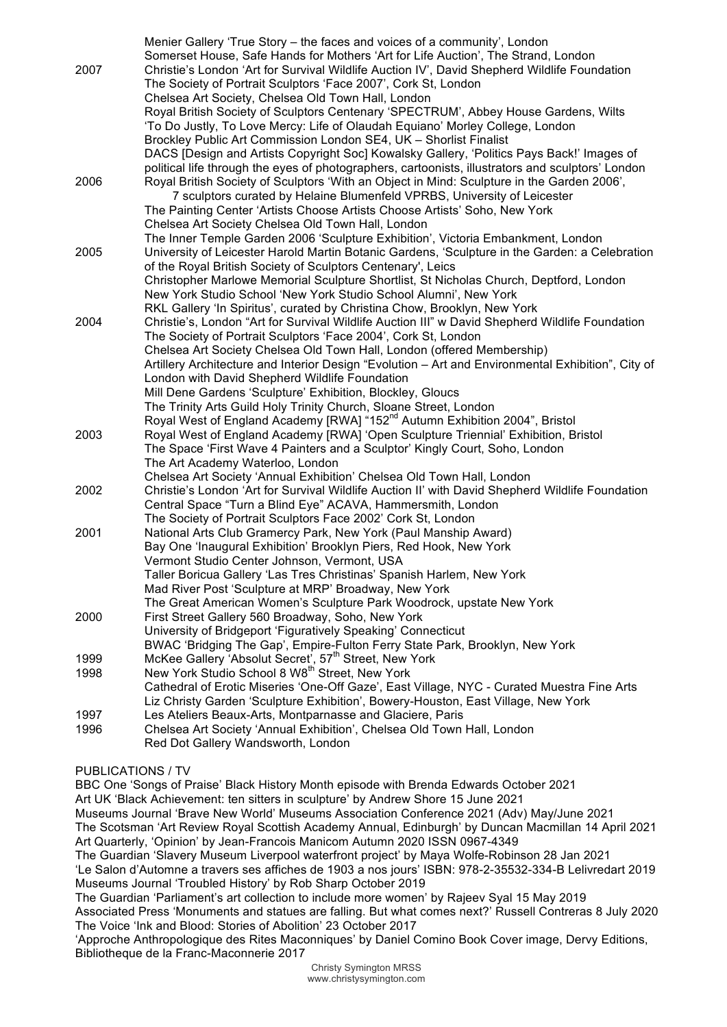|      | Menier Gallery 'True Story – the faces and voices of a community', London                                                                                       |
|------|-----------------------------------------------------------------------------------------------------------------------------------------------------------------|
|      | Somerset House, Safe Hands for Mothers 'Art for Life Auction', The Strand, London                                                                               |
| 2007 | Christie's London 'Art for Survival Wildlife Auction IV', David Shepherd Wildlife Foundation                                                                    |
|      | The Society of Portrait Sculptors 'Face 2007', Cork St, London                                                                                                  |
|      | Chelsea Art Society, Chelsea Old Town Hall, London                                                                                                              |
|      | Royal British Society of Sculptors Centenary 'SPECTRUM', Abbey House Gardens, Wilts                                                                             |
|      | 'To Do Justly, To Love Mercy: Life of Olaudah Equiano' Morley College, London                                                                                   |
|      | Brockley Public Art Commission London SE4, UK - Shorlist Finalist                                                                                               |
|      | DACS [Design and Artists Copyright Soc] Kowalsky Gallery, 'Politics Pays Back!' Images of                                                                       |
|      | political life through the eyes of photographers, cartoonists, illustrators and sculptors' London                                                               |
| 2006 | Royal British Society of Sculptors 'With an Object in Mind: Sculpture in the Garden 2006',                                                                      |
|      | 7 sculptors curated by Helaine Blumenfeld VPRBS, University of Leicester                                                                                        |
|      | The Painting Center 'Artists Choose Artists Choose Artists' Soho, New York                                                                                      |
|      | Chelsea Art Society Chelsea Old Town Hall, London                                                                                                               |
|      | The Inner Temple Garden 2006 'Sculpture Exhibition', Victoria Embankment, London                                                                                |
| 2005 | University of Leicester Harold Martin Botanic Gardens, 'Sculpture in the Garden: a Celebration                                                                  |
|      | of the Royal British Society of Sculptors Centenary', Leics                                                                                                     |
|      | Christopher Marlowe Memorial Sculpture Shortlist, St Nicholas Church, Deptford, London                                                                          |
|      | New York Studio School 'New York Studio School Alumni', New York                                                                                                |
|      | RKL Gallery 'In Spiritus', curated by Christina Chow, Brooklyn, New York                                                                                        |
| 2004 | Christie's, London "Art for Survival Wildlife Auction III" w David Shepherd Wildlife Foundation                                                                 |
|      | The Society of Portrait Sculptors 'Face 2004', Cork St, London                                                                                                  |
|      | Chelsea Art Society Chelsea Old Town Hall, London (offered Membership)                                                                                          |
|      | Artillery Architecture and Interior Design "Evolution - Art and Environmental Exhibition", City of                                                              |
|      | London with David Shepherd Wildlife Foundation                                                                                                                  |
|      | Mill Dene Gardens 'Sculpture' Exhibition, Blockley, Gloucs                                                                                                      |
|      | The Trinity Arts Guild Holy Trinity Church, Sloane Street, London                                                                                               |
|      | Royal West of England Academy [RWA] "152 <sup>nd</sup> Autumn Exhibition 2004", Bristol                                                                         |
| 2003 | Royal West of England Academy [RWA] 'Open Sculpture Triennial' Exhibition, Bristol                                                                              |
|      | The Space 'First Wave 4 Painters and a Sculptor' Kingly Court, Soho, London                                                                                     |
|      | The Art Academy Waterloo, London                                                                                                                                |
| 2002 | Chelsea Art Society 'Annual Exhibition' Chelsea Old Town Hall, London                                                                                           |
|      | Christie's London 'Art for Survival Wildlife Auction II' with David Shepherd Wildlife Foundation<br>Central Space "Turn a Blind Eye" ACAVA, Hammersmith, London |
|      | The Society of Portrait Sculptors Face 2002' Cork St, London                                                                                                    |
| 2001 | National Arts Club Gramercy Park, New York (Paul Manship Award)                                                                                                 |
|      | Bay One 'Inaugural Exhibition' Brooklyn Piers, Red Hook, New York                                                                                               |
|      | Vermont Studio Center Johnson, Vermont, USA                                                                                                                     |
|      | Taller Boricua Gallery 'Las Tres Christinas' Spanish Harlem, New York                                                                                           |
|      | Mad River Post 'Sculpture at MRP' Broadway, New York                                                                                                            |
|      | The Great American Women's Sculpture Park Woodrock, upstate New York                                                                                            |
| 2000 | First Street Gallery 560 Broadway, Soho, New York                                                                                                               |
|      | University of Bridgeport 'Figuratively Speaking' Connecticut                                                                                                    |
|      | BWAC 'Bridging The Gap', Empire-Fulton Ferry State Park, Brooklyn, New York                                                                                     |
| 1999 |                                                                                                                                                                 |
| 1998 | McKee Gallery 'Absolut Secret', 57 <sup>th</sup> Street, New York<br>New York Studio School 8 W8 <sup>th</sup> Street, New York                                 |
|      | Cathedral of Erotic Miseries 'One-Off Gaze', East Village, NYC - Curated Muestra Fine Arts                                                                      |
|      | Liz Christy Garden 'Sculpture Exhibition', Bowery-Houston, East Village, New York                                                                               |
| 1997 | Les Ateliers Beaux-Arts, Montparnasse and Glaciere, Paris                                                                                                       |
| 1996 | Chelsea Art Society 'Annual Exhibition', Chelsea Old Town Hall, London                                                                                          |
|      | Red Dot Gallery Wandsworth, London                                                                                                                              |
|      |                                                                                                                                                                 |

# PUBLICATIONS / TV

BBC One 'Songs of Praise' Black History Month episode with Brenda Edwards October 2021 Art UK 'Black Achievement: ten sitters in sculpture' by Andrew Shore 15 June 2021 Museums Journal 'Brave New World' Museums Association Conference 2021 (Adv) May/June 2021 The Scotsman 'Art Review Royal Scottish Academy Annual, Edinburgh' by Duncan Macmillan 14 April 2021 Art Quarterly, 'Opinion' by Jean-Francois Manicom Autumn 2020 ISSN 0967-4349 The Guardian 'Slavery Museum Liverpool waterfront project' by Maya Wolfe-Robinson 28 Jan 2021 'Le Salon d'Automne a travers ses affiches de 1903 a nos jours' ISBN: 978-2-35532-334-B Lelivredart 2019 Museums Journal 'Troubled History' by Rob Sharp October 2019 The Guardian 'Parliament's art collection to include more women' by Rajeev Syal 15 May 2019 Associated Press 'Monuments and statues are falling. But what comes next?' Russell Contreras 8 July 2020 The Voice 'Ink and Blood: Stories of Abolition' 23 October 2017 'Approche Anthropologique des Rites Maconniques' by Daniel Comino Book Cover image, Dervy Editions, Bibliotheque de la Franc-Maconnerie 2017